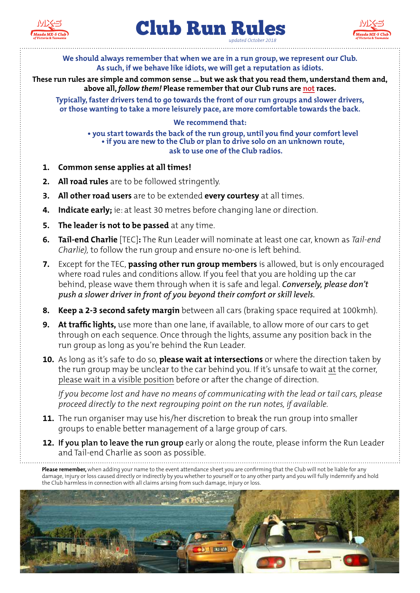





**We should always remember that when we are in a run group, we represent our Club. As such, if we behave like idiots, we will get a reputation as idiots.**

**These run rules are simple and common sense ... but we ask that you read them, understand them and, above all,** *follow them!* **Please remember that our Club runs are not races.**

**Typically, faster drivers tend to go towards the front of our run groups and slower drivers, or those wanting to take a more leisurely pace, are more comfortable towards the back.** 

## **We recommend that:**

**• you start towards the back of the run group, until you find your comfort level • if you are new to the Club or plan to drive solo on an unknown route, ask to use one of the Club radios.**

- **1. Common sense applies at all times!**
- **2. All road rules** are to be followed stringently.
- **3. All other road users** are to be extended **every courtesy** at all times.
- **4. Indicate early;** ie: at least 30 metres before changing lane or direction.
- **5. The leader is not to be passed** at any time.
- **6. Tail-end Charlie** [TEC]**:** The Run Leader will nominate at least one car, known as *Tail-end Charlie),* to follow the run group and ensure no-one is left behind.
- **7.** Except for the TEC, **passing other run group members** is allowed, but is only encouraged where road rules and conditions allow. If you feel that you are holding up the car behind, please wave them through when it is safe and legal. *Conversely, please don't push a slower driver in front of you beyond their comfort or skill levels.*
- **8. Keep a 2-3 second safety margin** between all cars (braking space required at 100kmh).
- **9. At traffic lights,** use more than one lane, if available, to allow more of our cars to get through on each sequence. Once through the lights, assume any position back in the run group as long as you're behind the Run Leader.
- **10.** As long as it's safe to do so, **please wait at intersections** or where the direction taken by the run group may be unclear to the car behind you. If it's unsafe to wait at the corner, please wait in a visible position before or after the change of direction.

*If you become lost and have no means of communicating with the lead or tail cars, please proceed directly to the next regrouping point on the run notes, if available.*

- **11.** The run organiser may use his/her discretion to break the run group into smaller groups to enable better management of a large group of cars.
- **12. If you plan to leave the run group** early or along the route, please inform the Run Leader and Tail-end Charlie as soon as possible.

**Please remember,** when adding your name to the event attendance sheet you are confirming that the Club will not be liable for any damage, injury or loss caused directly or indirectly by you whether to yourself or to any other party and you will fully indemnify and hold the Club harmless in connection with all claims arising from such damage, injury or loss.